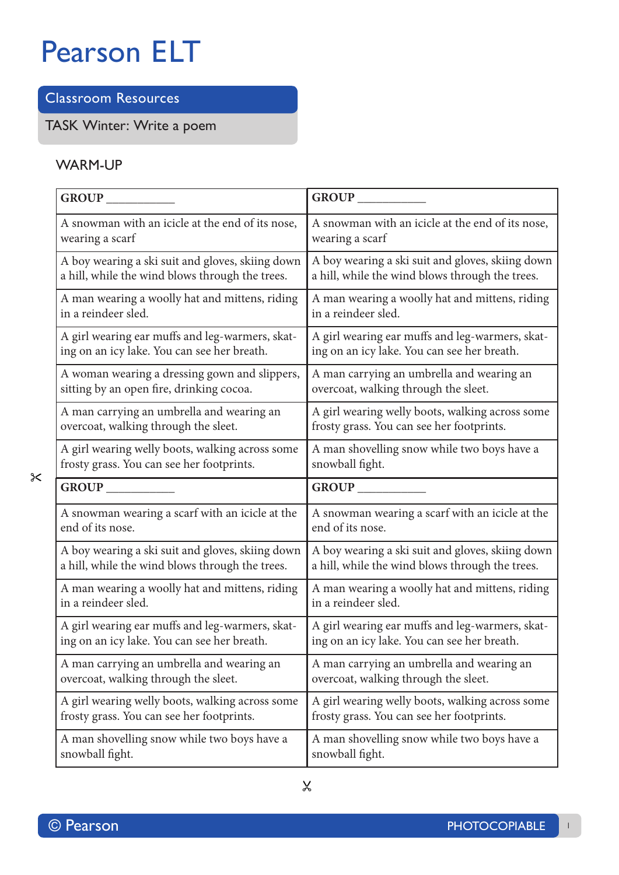## **Classroom Resources**

**TASK Winter: Write a poem**

## **WARM-UP**

| <b>GROUP</b>                                     | <b>GROUP</b>                                     |
|--------------------------------------------------|--------------------------------------------------|
| A snowman with an icicle at the end of its nose, | A snowman with an icicle at the end of its nose, |
| wearing a scarf                                  | wearing a scarf                                  |
| A boy wearing a ski suit and gloves, skiing down | A boy wearing a ski suit and gloves, skiing down |
| a hill, while the wind blows through the trees.  | a hill, while the wind blows through the trees.  |
| A man wearing a woolly hat and mittens, riding   | A man wearing a woolly hat and mittens, riding   |
| in a reindeer sled.                              | in a reindeer sled.                              |
| A girl wearing ear muffs and leg-warmers, skat-  | A girl wearing ear muffs and leg-warmers, skat-  |
| ing on an icy lake. You can see her breath.      | ing on an icy lake. You can see her breath.      |
| A woman wearing a dressing gown and slippers,    | A man carrying an umbrella and wearing an        |
| sitting by an open fire, drinking cocoa.         | overcoat, walking through the sleet.             |
| A man carrying an umbrella and wearing an        | A girl wearing welly boots, walking across some  |
| overcoat, walking through the sleet.             | frosty grass. You can see her footprints.        |
| A girl wearing welly boots, walking across some  | A man shovelling snow while two boys have a      |
| frosty grass. You can see her footprints.        | snowball fight.                                  |
|                                                  |                                                  |
| GROUP                                            |                                                  |
| A snowman wearing a scarf with an icicle at the  | A snowman wearing a scarf with an icicle at the  |
| end of its nose.                                 | end of its nose.                                 |
| A boy wearing a ski suit and gloves, skiing down | A boy wearing a ski suit and gloves, skiing down |
| a hill, while the wind blows through the trees.  | a hill, while the wind blows through the trees.  |
| A man wearing a woolly hat and mittens, riding   | A man wearing a woolly hat and mittens, riding   |
| in a reindeer sled.                              | in a reindeer sled.                              |
| A girl wearing ear muffs and leg-warmers, skat-  | A girl wearing ear muffs and leg-warmers, skat-  |
| ing on an icy lake. You can see her breath.      | ing on an icy lake. You can see her breath.      |
| A man carrying an umbrella and wearing an        | A man carrying an umbrella and wearing an        |
| overcoat, walking through the sleet.             | overcoat, walking through the sleet.             |
| A girl wearing welly boots, walking across some  | A girl wearing welly boots, walking across some  |
| frosty grass. You can see her footprints.        | frosty grass. You can see her footprints.        |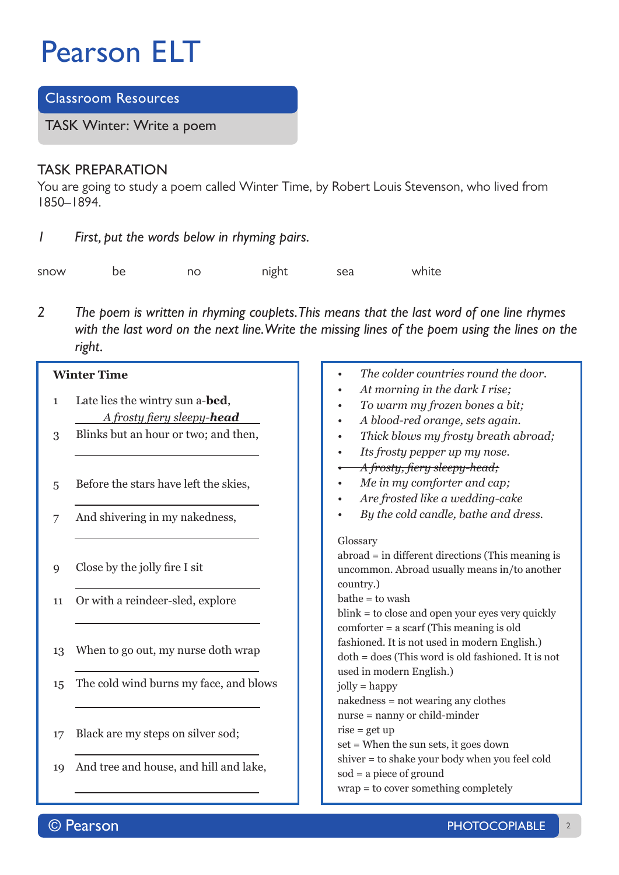**Classroom Resources**

**TASK Winter: Write a poem**

## **TASK PREPARATION**

You are going to study a poem called Winter Time, by Robert Louis Stevenson, who lived from 1850–1894.

*1 First, put the words below in rhyming pairs.*

snow be no night sea white

*2 The poem is written in rhyming couplets. This means that the last word of one line rhymes*  with the last word on the next line. Write the missing lines of the poem using the lines on the *right.* 

| <b>Winter Time</b> |                                                                                                       | The colder countries round the door.                                                                                                                                                                                                                                                                     |
|--------------------|-------------------------------------------------------------------------------------------------------|----------------------------------------------------------------------------------------------------------------------------------------------------------------------------------------------------------------------------------------------------------------------------------------------------------|
| 1<br>3             | Late lies the wintry sun a-bed,<br>A frosty fiery sleepy-head<br>Blinks but an hour or two; and then, | At morning in the dark I rise;<br>To warm my frozen bones a bit;<br>A blood-red orange, sets again.<br>Thick blows my frosty breath abroad;<br>$\bullet$<br>Its frosty pepper up my nose.<br>$\bullet$<br>A frosty, fiery sleepy-head;<br>Me in my comforter and cap;<br>Are frosted like a wedding-cake |
| 5                  | Before the stars have left the skies,                                                                 |                                                                                                                                                                                                                                                                                                          |
| 7                  | And shivering in my nakedness,                                                                        | By the cold candle, bathe and dress.                                                                                                                                                                                                                                                                     |
| 9<br>11            | Close by the jolly fire I sit<br>Or with a reindeer-sled, explore                                     | Glossary<br>$abroad = in$ different directions (This meaning is<br>uncommon. Abroad usually means in/to another<br>country.)<br>$b$ athe = to wash<br>blink = to close and open your eyes very quickly<br>$\text{conforter} = a \, \text{scar}$ (This meaning is old                                     |
| 13                 | When to go out, my nurse doth wrap                                                                    | fashioned. It is not used in modern English.)<br>$doth =$ does (This word is old fashioned. It is not<br>used in modern English.)                                                                                                                                                                        |
| 15                 | The cold wind burns my face, and blows                                                                | $jolly = happy$<br>nakedness = not wearing any clothes                                                                                                                                                                                                                                                   |
| 17                 | Black are my steps on silver sod;                                                                     | nurse = nanny or child-minder<br>$rise = get up$<br>$set =$ When the sun sets, it goes down<br>shiver = to shake your body when you feel cold                                                                                                                                                            |
| 19                 | And tree and house, and hill and lake,                                                                | $sod = a$ piece of ground<br>wrap = to cover something completely                                                                                                                                                                                                                                        |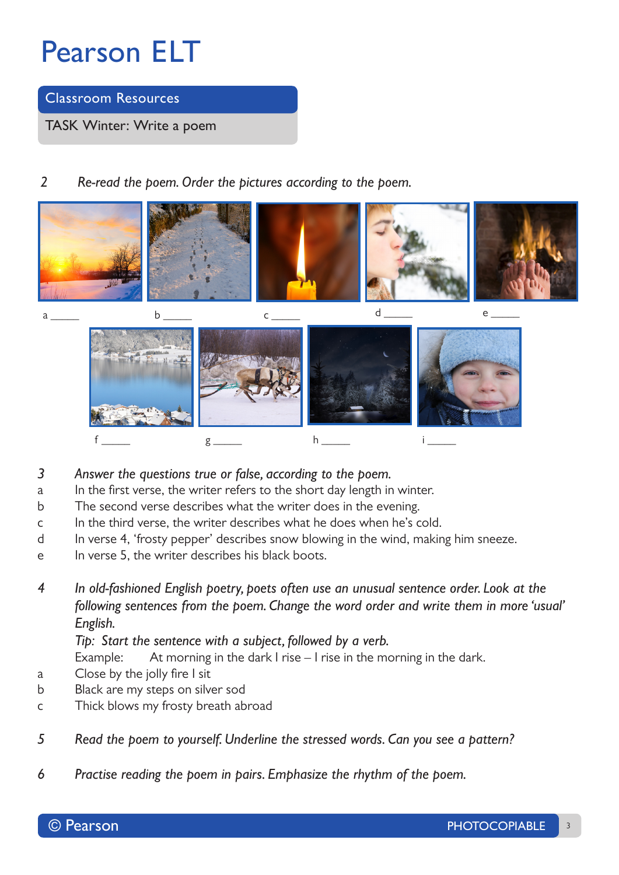**Classroom Resources**

**TASK Winter: Write a poem**

*2 Re-read the poem. Order the pictures according to the poem.* 



- *3 Answer the questions true or false, according to the poem.*
- a In the first verse, the writer refers to the short day length in winter.
- b The second verse describes what the writer does in the evening.
- c In the third verse, the writer describes what he does when he's cold.
- d In verse 4, 'frosty pepper' describes snow blowing in the wind, making him sneeze.
- e In verse 5, the writer describes his black boots.
- *4 In old-fashioned English poetry, poets often use an unusual sentence order. Look at the following sentences from the poem. Change the word order and write them in more 'usual' English.*

*Tip: Start the sentence with a subject, followed by a verb.*

Example: At morning in the dark I rise – I rise in the morning in the dark.

- a Close by the jolly fire I sit
- b Black are my steps on silver sod
- c Thick blows my frosty breath abroad
- *5 Read the poem to yourself. Underline the stressed words. Can you see a pattern?*
- *6 Practise reading the poem in pairs. Emphasize the rhythm of the poem.*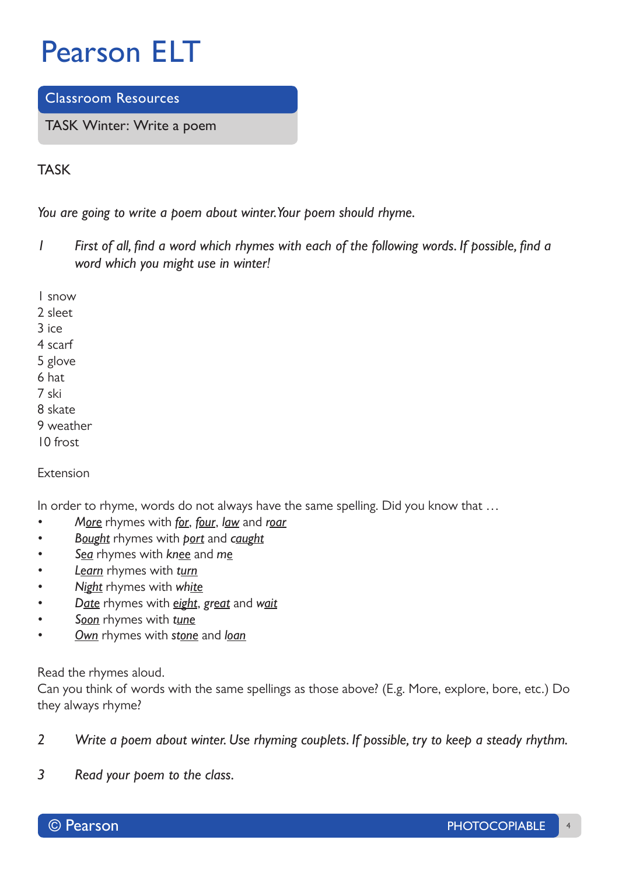**Classroom Resources**

**TASK Winter: Write a poem**

## **TASK**

*You are going to write a poem about winter. Your poem should rhyme.* 

- I First of all, find a word which rhymes with each of the following words. If possible, find a *word which you might use in winter!*
- 1 snow 2 sleet 3 ice 4 scarf 5 glove 6 hat 7 ski 8 skate 9 weather
- 10 frost

## Extension

In order to rhyme, words do not always have the same spelling. Did you know that ...

- • *More* rhymes with *for*, *four*, *law* and *roar*
- • *Bought* rhymes with *port* and *caught*
- Sea rhymes with *knee* and *me*
- • *Learn* rhymes with *turn*
- **Night** rhymes with white
- • *Date* rhymes with *eight*, *great* and *wait*
- Soon rhymes with tune
- • *Own* rhymes with *stone* and *loan*

Read the rhymes aloud.

Can you think of words with the same spellings as those above? (E.g. More, explore, bore, etc.) Do they always rhyme?

- *2 Write a poem about winter. Use rhyming couplets. If possible, try to keep a steady rhythm.*
- *3 Read your poem to the class.*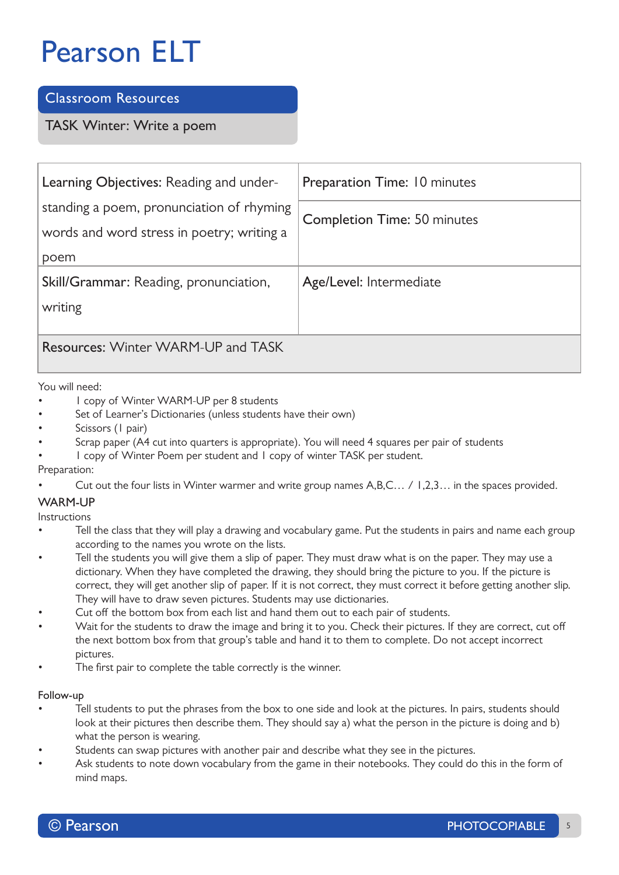## **Classroom Resources**

**TASK Winter: Write a poem**

| Learning Objectives: Reading and under-                                                 | <b>Preparation Time: 10 minutes</b> |
|-----------------------------------------------------------------------------------------|-------------------------------------|
| standing a poem, pronunciation of rhyming<br>words and word stress in poetry; writing a | <b>Completion Time: 50 minutes</b>  |
| poem                                                                                    |                                     |
| Skill/Grammar: Reading, pronunciation,                                                  | Age/Level: Intermediate             |
| writing                                                                                 |                                     |
|                                                                                         |                                     |
| <b>Resources: Winter WARM-UP and TASK</b>                                               |                                     |

You will need:

- I copy of Winter WARM-UP per 8 students
- Set of Learner's Dictionaries (unless students have their own)
- Scissors (1 pair)
- Scrap paper (A4 cut into quarters is appropriate). You will need 4 squares per pair of students
- I copy of Winter Poem per student and I copy of winter TASK per student.

Preparation:

Cut out the four lists in Winter warmer and write group names  $A, B, C...$  / 1, 2, 3... in the spaces provided.

### **WARM-UP**

Instructions

- Tell the class that they will play a drawing and vocabulary game. Put the students in pairs and name each group according to the names you wrote on the lists.
- Tell the students you will give them a slip of paper. They must draw what is on the paper. They may use a dictionary. When they have completed the drawing, they should bring the picture to you. If the picture is correct, they will get another slip of paper. If it is not correct, they must correct it before getting another slip. They will have to draw seven pictures. Students may use dictionaries.
- Cut off the bottom box from each list and hand them out to each pair of students.
- Wait for the students to draw the image and bring it to you. Check their pictures. If they are correct, cut off the next bottom box from that group's table and hand it to them to complete. Do not accept incorrect pictures.
- The first pair to complete the table correctly is the winner.

#### **Follow-up**

- Tell students to put the phrases from the box to one side and look at the pictures. In pairs, students should look at their pictures then describe them. They should say a) what the person in the picture is doing and b) what the person is wearing.
- Students can swap pictures with another pair and describe what they see in the pictures.
- Ask students to note down vocabulary from the game in their notebooks. They could do this in the form of mind maps.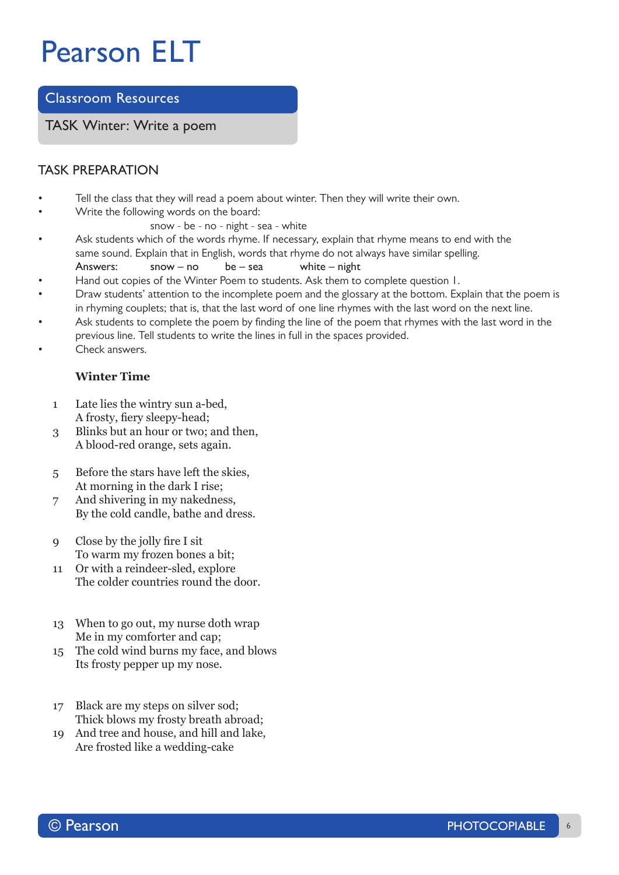**Classroom Resources**

**TASK Winter: Write a poem**

### **TASK PREPARATION**

- Tell the class that they will read a poem about winter. Then they will write their own.
- Write the following words on the board:

 snow - be - no - night - sea - white

- Ask students which of the words rhyme. If necessary, explain that rhyme means to end with the same sound. Explain that in English, words that rhyme do not always have similar spelling. **Answers: snow – no be – sea white – night**
- Hand out copies of the Winter Poem to students. Ask them to complete question 1.
- Draw students' attention to the incomplete poem and the glossary at the bottom. Explain that the poem is in rhyming couplets; that is, that the last word of one line rhymes with the last word on the next line.
- Ask students to complete the poem by finding the line of the poem that rhymes with the last word in the previous line. Tell students to write the lines in full in the spaces provided.
- Check answers

### **Winter Time**

- 1 Late lies the wintry sun a-bed, A frosty, fiery sleepy-head;
- 3 Blinks but an hour or two; and then, A blood-red orange, sets again.
- 5 Before the stars have left the skies, At morning in the dark I rise;
- 7 And shivering in my nakedness, By the cold candle, bathe and dress.
- 9 Close by the jolly fire I sit To warm my frozen bones a bit;
- 11 Or with a reindeer-sled, explore The colder countries round the door.
- 13 When to go out, my nurse doth wrap Me in my comforter and cap;
- 15 The cold wind burns my face, and blows Its frosty pepper up my nose.
- 17 Black are my steps on silver sod; Thick blows my frosty breath abroad;
- 19 And tree and house, and hill and lake, Are frosted like a wedding-cake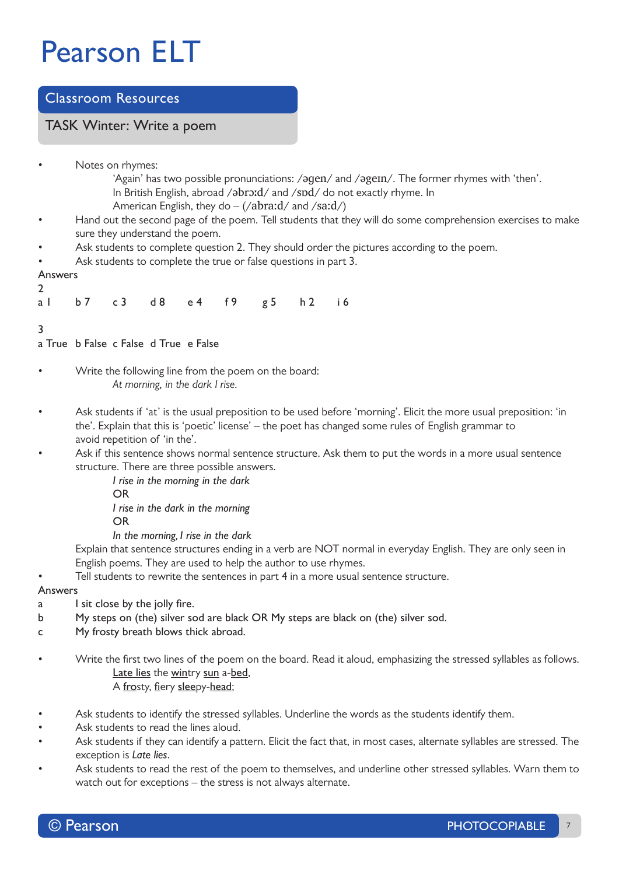### **Classroom Resources**

### **TASK Winter: Write a poem**

Notes on rhymes:

- 'Again' has two possible pronunciations: /əɡen/ and /əgeɪn/. The former rhymes with 'then'. In British English, abroad /əbrɔːd/ and /sɒd/ do not exactly rhyme. In
- American English, they do (/abra:d/ and /sa:d/)
- Hand out the second page of the poem. Tell students that they will do some comprehension exercises to make sure they understand the poem.
- Ask students to complete question 2. They should order the pictures according to the poem.
- Ask students to complete the true or false questions in part 3.

#### **Answers 2**

**a 1 b 7 c 3 d 8 e 4 f 9 g 5 h 2 i 6**

**3**

### **a True b False c False d True e False**

- Write the following line from the poem on the board: *At morning, in the dark I rise.*
- Ask students if 'at' is the usual preposition to be used before 'morning'. Elicit the more usual preposition: 'in the'. Explain that this is 'poetic' license' – the poet has changed some rules of English grammar to avoid repetition of 'in the'.
- Ask if this sentence shows normal sentence structure. Ask them to put the words in a more usual sentence structure. There are three possible answers.

*I rise in the morning in the dark* 

 **OR** 

*I rise in the dark in the morning*

 **OR** 

*In the morning, I rise in the dark*

 Explain that sentence structures ending in a verb are NOT normal in everyday English. They are only seen in English poems. They are used to help the author to use rhymes.

Tell students to rewrite the sentences in part 4 in a more usual sentence structure.

#### **Answers**

- **a I sit close by the jolly fire.**
- **b My steps on (the) silver sod are black OR My steps are black on (the) silver sod.**
- **c My frosty breath blows thick abroad.**
- Write the first two lines of the poem on the board. Read it aloud, emphasizing the stressed syllables as follows. **Late lies** the **win**try **sun** a-**bed**, A **fro**sty, **fi**ery **slee**py-**head**;
- Ask students to identify the stressed syllables. Underline the words as the students identify them.
- Ask students to read the lines aloud.
- Ask students if they can identify a pattern. Elicit the fact that, in most cases, alternate syllables are stressed. The exception is *Late lies*.
- Ask students to read the rest of the poem to themselves, and underline other stressed syllables. Warn them to watch out for exceptions – the stress is not always alternate.